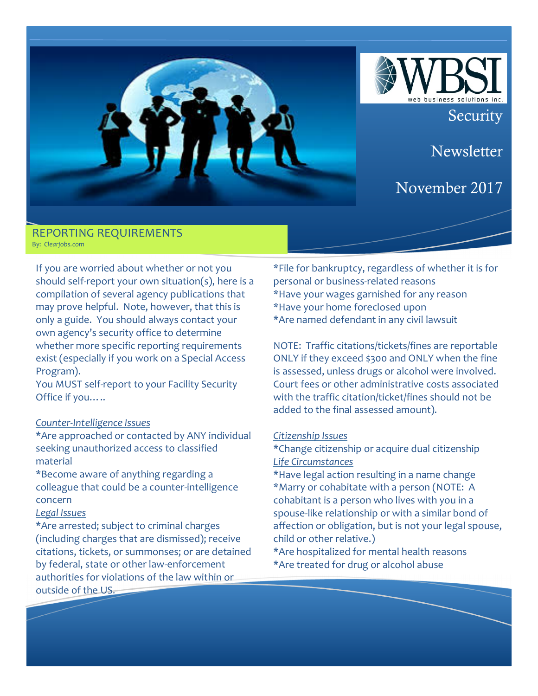

**Security** 

**Newsletter** 

# November 2017

### **REPORTING REQUIREMENTS** By: *Cleariobs.com*

If you are worried about whether or not you should self-report your own situation(s), here is a compilation of several agency publications that may prove helpful. Note, however, that this is only a guide. You should always contact your own agency's security office to determine whether more specific reporting requirements exist (especially if you work on a Special Access Program).

You MUST self-report to your Facility Security Office if you.....

# *Counter-Intelligence Issues*

\*Are approached or contacted by ANY individual seeking unauthorized access to classified material

\*Become aware of anything regarding a colleague that could be a counter-intelligence concern

# *Legal Issues*

\*Are arrested; subject to criminal charges (including charges that are dismissed); receive citations, tickets, or summonses; or are detained by federal, state or other law-enforcement authorities for violations of the law within or outside of the US.

\*File for bankruptcy, regardless of whether it is for personal or business-related reasons \*Have your wages garnished for any reason \*Have your home foreclosed upon \*Are named defendant in any civil lawsuit

NOTE: Traffic citations/tickets/fines are reportable ONLY if they exceed \$300 and ONLY when the fine is assessed, unless drugs or alcohol were involved. Court fees or other administrative costs associated with the traffic citation/ticket/fines should not be added to the final assessed amount).

### *Citizenship Issues*

- \*Change citizenship or acquire dual citizenship *Life Circumstances*
- \*Have legal action resulting in a name change \*Marry or cohabitate with a person (NOTE: A cohabitant is a person who lives with you in a spouse-like relationship or with a similar bond of affection or obligation, but is not your legal spouse, child or other relative.)
- \*Are hospitalized for mental health reasons \*Are treated for drug or alcohol abuse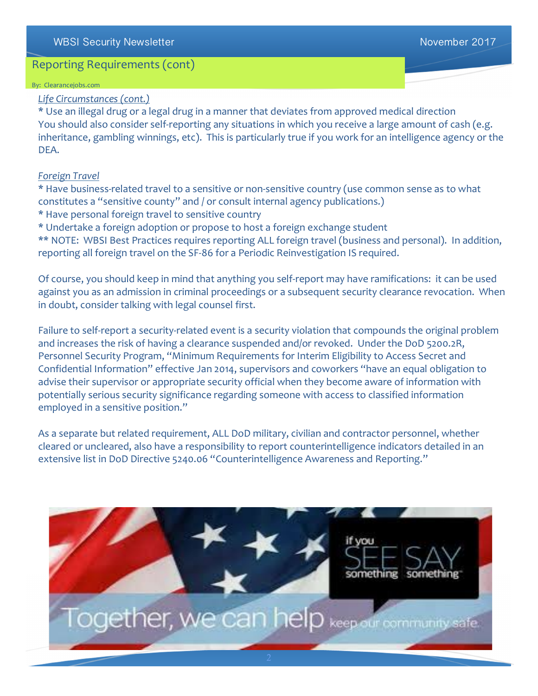# WBSI Security Newsletter National According to the Contract of the November 2017

# Reporting Requirements (cont)

#### By: Clearancejobs.com

# *Life Circumstances (cont.)*

\* Use an illegal drug or a legal drug in a manner that deviates from approved medical direction You should also consider self-reporting any situations in which you receive a large amount of cash (e.g. inheritance, gambling winnings, etc). This is particularly true if you work for an intelligence agency or the DEA.

### *Foreign Travel*

\* Have business-related travel to a sensitive or non-sensitive country (use common sense as to what constitutes a "sensitive county" and / or consult internal agency publications.)

\* Have personal foreign travel to sensitive country

\* Undertake a foreign adoption or propose to host a foreign exchange student

\*\* NOTE: WBSI Best Practices requires reporting ALL foreign travel (business and personal). In addition, reporting all foreign travel on the SF-86 for a Periodic Reinvestigation IS required.

Of course, you should keep in mind that anything you self-report may have ramifications: it can be used against you as an admission in criminal proceedings or a subsequent security clearance revocation. When in doubt, consider talking with legal counsel first.

Failure to self-report a security-related event is a security violation that compounds the original problem and increases the risk of having a clearance suspended and/or revoked. Under the DoD 5200.2R, Personnel Security Program, "Minimum Requirements for Interim Eligibility to Access Secret and Confidential Information" effective Jan 2014, supervisors and coworkers "have an equal obligation to advise their supervisor or appropriate security official when they become aware of information with potentially serious security significance regarding someone with access to classified information employed in a sensitive position."

As a separate but related requirement, ALL DoD military, civilian and contractor personnel, whether cleared or uncleared, also have a responsibility to report counterintelligence indicators detailed in an extensive list in DoD Directive 5240.06 "Counterintelligence Awareness and Reporting."